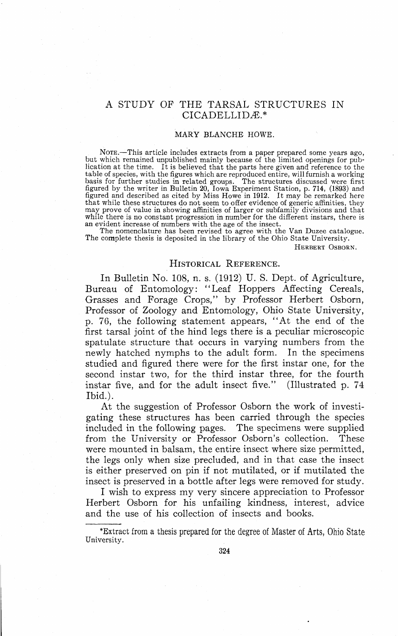# A STUDY OF THE TARSAL STRUCTURES IN CICADELLIDÆ.\*

#### **MARY BLANCHE** HOWE.

Nore.—This article includes extracts from a paper prepared some years ago, but which remained unpublished mainly because of the limited openings for publication at the time. It is believed that the parts here given and ref table of species, with the figures which are reproduced entire, will furnish a working<br>basis for further studies in related groups. The structures discussed were first<br>figured by the writer in Bulletin 20, Iowa Experiment may prove of value in showing affinities of larger or subfamily divisions and that while there is no constant progression in number for the different instars, there is an evident increase of numbers with the age of the insect.

The nomenclature has been revised to agree with the Van Duzee catalogue. The complete thesis is deposited in the library of the Ohio State University.

HERBERT OSBORN.

# HISTORICAL REFERENCE.

In Bulletin No. 108, n. s. (1912) U. S. Dept. of Agriculture, Bureau of Entomology: "Leaf Hoppers Affecting Cereals, Grasses and Forage Crops," by Professor Herbert Osborn, Professor of Zoology and Entomology, Ohio State University, p. 76, the following statement appears, "At the end of the first tarsal joint of the hind legs there is a peculiar microscopic spatulate structure that occurs in varying numbers from the newly hatched nymphs to the adult form. In the specimens studied and figured there were for the first instar one, for the second instar two, for the third instar three, for the fourth instar five, and for the adult insect five." (Illustrated p. 74 Ibid.).

At the suggestion of Professor Osborn the work of investigating these structures has been carried through the species included in the following pages. The specimens were supplied from the University or Professor Osborn's collection. These were mounted in balsam, the entire insect where size permitted, the legs only when size precluded, and in that case the insect is either preserved on pin if not mutilated, or if mutilated the insect is preserved in a bottle after legs were removed for study.

I wish to express my very sincere appreciation to Professor Herbert Osborn for his unfailing kindness, interest, advice and the use of his collection of insects and books.

\*Extract from a thesis prepared for the degree of Master of Arts, Ohio State University.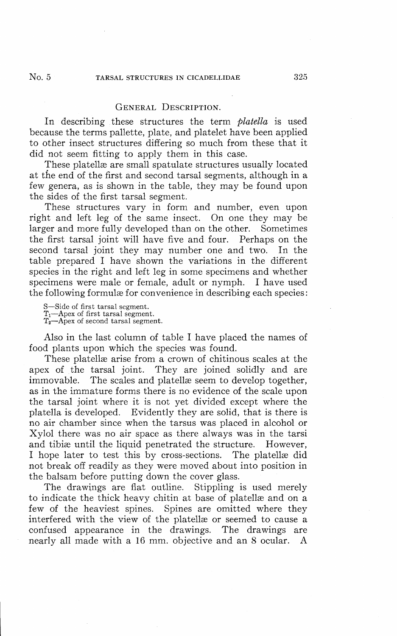In describing these structures the term *platella* is used because the terms pallette, plate, and platelet have been applied to other insect structures differing so much from these that it did not seem fitting to apply them in this case.

These platellæ are small spatulate structures usually located at the end of the first and second tarsal segments, although in a few genera, as is shown in the table, they may be found upon the sides of the first tarsal segment.

These structures vary in form and number, even upon right and left leg of the same insect. On one they may be larger and more fully developed than on the other. Sometimes the first tarsal joint will have five and four. Perhaps on the second tarsal joint they may number one and two. In the table prepared I have shown the variations in the different species in the right and left leg in some specimens and whether specimens were male or female, adult or nymph. I have used the following formulae for convenience in describing each species:

S—Side of first tarsal segment.  $T_1$ —Apex of first tarsal segment.<br> $T_2$ —Apex of second tarsal segment.

Also in the last column of table I have placed the names of food plants upon which the species was found.

These platellæ arise from a crown of chitinous scales at the apex of the tarsal joint. They are joined solidly and are immovable. The scales and platellae seem to develop together, as in the immature forms there is no evidence of the scale upon the tarsal joint where it is not yet divided except where the platella is developed. Evidently they are solid, that is there is no air chamber since when the tarsus was placed in alcohol or Xylol there was no air space as there always was in the tarsi and tibiæ until the liquid penetrated the structure. However, I hope later to test this by cross-sections. The platellæ did not break off readily as they were moved about into position in the balsam before putting down the cover glass.

The drawings are flat outline. Stippling is used merely to indicate the thick heavy chitin at base of platellæ and on a few of the heaviest spines. Spines are omitted where they interfered with the view of the platellæ or seemed to cause a confused appearance in the drawings. The drawings are confused appearance in the drawings. nearly all made with a 16 mm. objective and an 8 ocular. A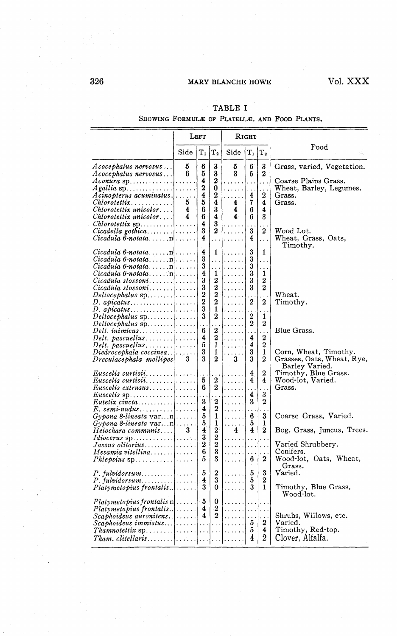# 326 MARY BLANCHE HOWE Vol. XXX

|                                                                                                                                                                                                                                     | Left                   |                                                                                  |                                                                                                         | Rıght                                         |                                                                         |                                                                         |                                                                                                                 |
|-------------------------------------------------------------------------------------------------------------------------------------------------------------------------------------------------------------------------------------|------------------------|----------------------------------------------------------------------------------|---------------------------------------------------------------------------------------------------------|-----------------------------------------------|-------------------------------------------------------------------------|-------------------------------------------------------------------------|-----------------------------------------------------------------------------------------------------------------|
|                                                                                                                                                                                                                                     | Side                   | $\mathbf{T}_1$                                                                   | $T_{2}$                                                                                                 | Side                                          | $\rm T_1$                                                               | $\rm T_2$                                                               | Food                                                                                                            |
| Acocephalus nervosus<br>Acocephalus nervosus<br>$A \text{ conura sp.} \dots \dots \dots \dots \dots$<br>$A$ cinopterus acuminatus. $ \ldots $ .<br>$Chlorotetrix$<br>Chlorotettix unicolor<br>Chlorotettix unicolor                 | 5<br>6<br>5.<br>4<br>4 | 6<br>5<br>$\overline{\bf 4}$<br>$\overline{\mathbf{2}}$<br>4<br>5<br>6<br>6<br>4 | 3<br>3<br>2<br>0<br>2<br>4<br>3<br>4<br>3                                                               | 5<br>3<br>4<br>4<br>4                         | 6<br>5<br>.<br>4<br>7<br>6<br>6                                         | 3<br>$\bf{2}$<br>.<br>2<br>4<br>4<br>3                                  | Grass, varied, Vegetation.<br>Coarse Plains Grass.<br>Wheat, Barley, Legumes.<br>Grass.<br>Grass.               |
| <i>Chlorotettix</i> sp<br>$Cicadula\ \theta$ -notatan                                                                                                                                                                               |                        | 3<br>4                                                                           | 2<br>.                                                                                                  | .<br>1.1.1.1<br>.                             | 3<br>4                                                                  | $\overline{2}$<br>$\cdots$                                              | Wood Lot.<br>Wheat, Grass, Oats,<br>Timothy.                                                                    |
| $Cicadula 6$ -notatan<br>$Cicadula 6-notata \ldots$ . n<br>$Cicadula 6$ -notatan<br>$Cicadula$ slossoni<br>$Deltocephalus$ sp. $\ldots$ , $\ldots$<br>$D.$ apicatus <br>$D.$ apicatus                                               |                        | 4<br>3<br>3<br>$\overline{\mathbf{4}}$<br>3<br>3<br>$\frac{2}{3}$<br>3           | 1<br>.<br>$\ddotsc$<br>1<br>2<br>$\boldsymbol{2}$<br>$\overline{2}$<br>$\mathbf 2$<br>$\mathbf{1}$<br>2 | .<br>$\ldots$ .<br>.<br>.<br>.<br>.<br>.<br>. | 3<br>3<br>3<br>3<br>3<br>3<br>$\boldsymbol{2}$<br>$\boldsymbol{2}$<br>2 | 1<br>.<br>.<br>1<br>2<br>$\boldsymbol{2}$<br>$\boldsymbol{2}$<br>1<br>2 | $\mathtt{Wheat}.$<br>Timothy.                                                                                   |
| $Delta$ . inimicus <br>Diedrocephala coccinea<br>Dreculacephala mollipes                                                                                                                                                            | $\cdots$<br>3          | 6<br>4<br>5<br>3<br>3                                                            | 2<br>2<br>1<br>1<br>2                                                                                   | .<br>.<br>.<br>1.1.1.1.1<br>3                 | .<br>4<br>4<br>3<br>3                                                   | .<br>$\boldsymbol{2}$<br>2<br>$\mathbf{1}$<br>$\boldsymbol{2}$          | Blue Grass.<br>Corn, Wheat, Timothy.<br>Grasses, Oats, Wheat, Rye,                                              |
| Euscelis curtisii <br>Euscelis curtisii <br>Eutetix cincta<br>$E.$ semi-nudus                                                                                                                                                       |                        | 5<br>6<br>3<br>4                                                                 | 2<br>2<br>2<br>$\boldsymbol{2}$                                                                         | .<br>.<br>.<br>.                              | 4<br>4<br>.<br>4<br>3                                                   | $\boldsymbol{2}$<br>4<br>3<br>2                                         | Barley Varied.<br>Timothy, Blue Grass.<br>Wood-lot, Varied.<br>Grass.                                           |
| $Gypona 8-lineara varn$<br>$Gypona 8-lineara varn$<br>Helochara communis <br>$Idiocerus$ sp. $\dots \dots \dots \dots$<br>$Jassus\; olitorius$<br>Mesamia vi tellina<br>$Phlepsius$ sp. $\ldots \ldots \ldots$                      | 3                      | $\frac{5}{5}$<br>4<br>3<br>$\overline{2}$<br>6<br>5                              | 1<br>1<br>$\overline{2}$<br>$\overline{2}$<br>$\overline{2}$<br>3<br>3                                  | .<br>.<br>4<br>.<br>a matana<br>.             | .<br>6<br>5<br>4<br>$\ddotsc$<br>$\ddotsc$<br>$\cdots$<br>6             | .<br>3<br>1<br>2<br>.<br>.<br>2                                         | Coarse Grass, Varied.<br>Bog, Grass, Juncus, Trees.<br>Varied Shrubbery.<br>Conifers.<br>Wood-lot, Oats, Wheat, |
| $Platymetopius$ frontalis  $\ldots$ .                                                                                                                                                                                               |                        | 5<br>4<br>3                                                                      | 2<br>3<br>0                                                                                             | .<br>.                                        | 5<br>5<br>3                                                             | 3<br>$\bf{2}$<br>1                                                      | Grass.<br>Varied.<br>Timothy, Blue Grass,<br>Wood-lot.                                                          |
| $Platymetopius frontalis \, n \vert \ldots \vert$<br>$Platymetopius$ frontalis $ $<br>$Scaphoideus$ auronitens. $ $<br>$\emph{Sca}$ phoideus immistus $ $ $ $ $ $ $ $<br>$Tham. \, cbitellar is \ldots \ldots \ldots \ldots \ldots$ |                        | 5<br>4<br>$\overline{4}$                                                         | 0<br>$\boldsymbol{2}$<br>$\overline{2}$                                                                 | . 1<br>. 1<br>.<br>1.                         | $\cdots$<br>$\ldots$<br>-5<br>5<br>4                                    | .<br>.<br>2<br>$\overline{4}$<br>$\overline{2}$                         | Shrubs, Willows, etc.<br>Varied.<br>Timothy, Red-top.<br>Clover, Alfalfa.                                       |

# TABLE I

SHOWING FORMULÆ OF PLATELLÆ, AND FOOD PLANTS.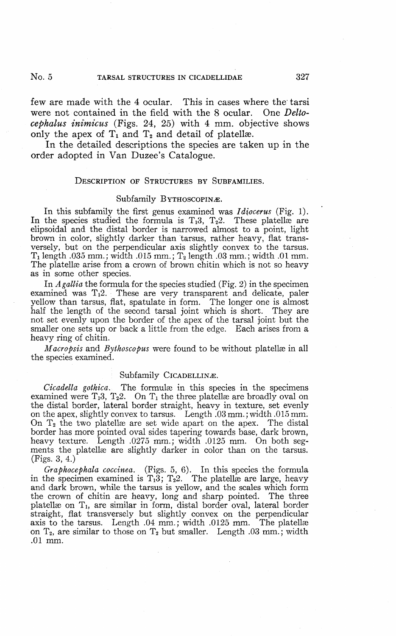few are made with the 4 ocular. This in cases where the tarsi were not contained in the field with the 8 ocular. One *Deltocephalus inimicus* (Figs. 24, 25) with 4 mm. objective shows only the apex of  $T_1$  and  $T_2$  and detail of platellæ.

In the detailed descriptions the species are taken up in the order adopted in Van Duzee's Catalogue.

#### DESCRIPTION OF STRUCTURES BY SUBFAMILIES.

#### Subfamily BYTHOSCOPINÆ.

In this subfamily the first genus examined was *Idiocerus* (Fig. 1). In the species studied the formula is  $T_13$ ,  $T_22$ . These platellae are elipsoidal and the distal border is narrowed almost to a point, light brown in color, slightly darker than tarsus, rather heavy, flat transversely, but on the perpendicular axis slightly convex to the tarsus.  $T_1$  length .035 mm.; width .015 mm.;  $T_2$  length .03 mm.; width .01 mm. The platellæ arise from a crown of brown chitin which is not so heavy as in some other species.

In *Agallia* the formula for the species studied (Fig. 2) in the specimen examined was T<sub>1</sub>2. These are very transparent and delicate, paler yellow than tarsus, flat, spatulate in form. The longer one is almost half the length of the second tarsal joint which is short. They are not set evenly upon the border of the apex of the tarsal joint but the smaller one sets up or back a little from the edge. Each arises from a heavy ring of chitin.

*Macropsis* and *Bythoscopus* were found to be without platellæ in all the species examined.

#### Subfamily CICADELLINÆ.

*Cicadella gothica*. The formulæ in this species in the specimens examined were  $T_13$ ,  $T_22$ . On  $T_1$  the three platellae are broadly oval on the distal border, lateral border straight, heavy in texture, set evenly on the apex, slightly convex to tarsus. Length .03 mm.; width .015 mm. On  $T_2$  the two platellas are set wide apart on the apex. The distal border has more pointed oval sides tapering towards base, dark brown, heavy texture. Length .0275 mm.; width .0125 mm. On both segments the platellae are slightly darker in color than on the tarsus. (Figs. 3, 4.)

*Graphocephala coccinea.* (Figs. 5, 6). In this species the formula in the specimen examined is  $T_1\overline{3}$ ;  $T_22$ . The platellas are large, heavy and dark brown, while the tarsus is yellow, and the scales which form the crown of chitin are heavy, long and sharp pointed. The three platellæ on T<sub>1</sub>, are similar in form, distal border oval, lateral border straight, flat transversely but slightly convex on the perpendicular axis to the tarsus. Length .04 mm.; width .0125 mm. The platellas on  $T_2$ , are similar to those on  $T_2$  but smaller. Length .03 mm.; width .01 mm.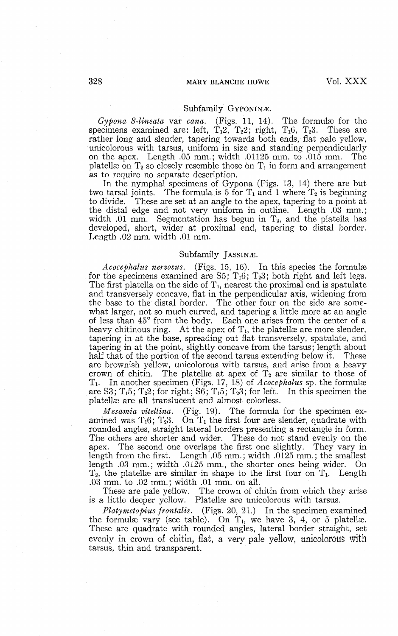#### Subfamily GYPONINÆ.

*Gypona 8-lineata* var *cana.* (Figs. 11, 14). The formulae for the ecimens examined are: left. T<sub>1</sub>2. T<sub>2</sub>. right. T<sub>1</sub>6. T<sub>2</sub>. These are specimens examined are: left,  $T_12$ ,  $T_22$ ; right,  $T_16$ ,  $T_23$ . rather long and slender, tapering towards both ends, flat pale yellow, unicolorous with tarsus, uniform in size and standing perpendicularly on the apex. Length .05 mm.; width .01125 mm. to .015 mm. The platellæ $\,$  on  $\rm T_2$  so closely resemble those on  $\rm T_1$  in form and arrangement as to require no separate description.

In the nymphal specimens of Gypona (Figs. 13, 14) there are but two tarsal joints. The formula is 5 for  $T_1$  and 1 where  $T_2$  is beginning The formula is 5 for  $T_1$  and 1 where  $T_2$  is beginning to divide. These are set at an angle to the apex, tapering to a point at the distal edge and not very uniform in outline. Length .03 mm.; width .01 mm. Segmentation has begun in  $T_2$ , and the platella has developed, short, wider at proximal end, tapering to distal border. Length .02 mm. width .01 mm.

#### Subfamily JASSINÆ.

*Acocephalus nervosus.* (Figs. 15, 16). In this species the formulæ for the specimens examined are S5;  $T_16$ ;  $T_23$ ; both right and left legs. The first platella on the side of  $T_1$ , nearest the proximal end is spatulate and transversely concave, flat in the perpendicular axis, widening from the base to the distal border. The other four on the side are somewhat larger, not so much curved, and tapering a little more at an angle of less than 45° from the body. Each one arises from the center of a heavy chitinous ring. At the apex of  $T_1$ , the platellae are more slender, tapering in at the base, spreading out flat transversely, spatulate, and tapering in at the point, slightly concave from the tarsus; length about half that of the portion of the second tarsus extending below it. These are brownish yellow, unicolorous with tarsus, and arise from a heavy crown of chitin. The platellae at apex of  $T_2$  are similar to those of Ti. In another specimen (Figs. 17, 18) of *Acocephalus* sp. the formulas are S3;  $T_15$ ;  $T_22$ ; for right; S6;  $T_15$ ;  $T_23$ ; for left. In this specimen the platellas are all translucent and almost colorless.

*Mesamia vitellina.* (Fig. 19). The formula for the specimen examined was  $T_16$ ;  $T_23$ . On  $T_1$  the first four are slender, quadrate with rounded angles, straight lateral borders presenting a rectangle in form. The others are shorter and wider. These do not stand evenly on the apex. The second one overlaps the first one slightly. They vary in length from the first. Length .05 mm.; width .0125 mm.; the smallest length .03 mm.; width .0125 mm., the shorter ones being wider. On  $T_2$ , the platellas are similar in shape to the first four on  $T_1$ . Length .03 mm. to .02 mm.; width .01 mm. on all.

These are pale yellow. The crown of chitin from which they arise is a little deeper yellow. Platellae are unicolorous with tarsus.

*Platymetopius frontalis.* (Figs. 20, 21.) In the specimen examined the formulae vary (see table). On  $T_1$ , we have 3, 4, or 5 platellae. These are quadrate with rounded angles, lateral border straight, set evenly in crown of chitin, flat, a very pale yellow, unicolorous with tarsus, thin and transparent.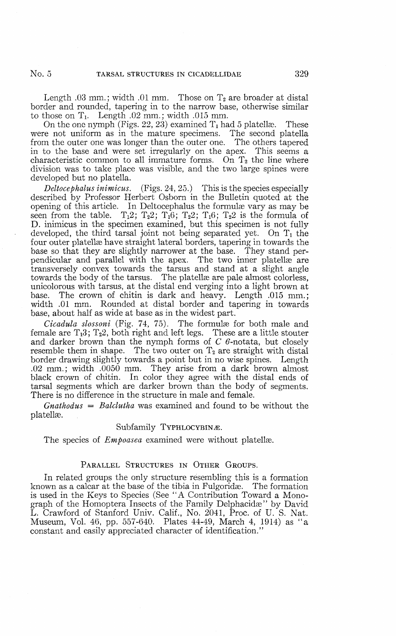Length .03 mm.; width .01 mm. Those on  $T_2$  are broader at distal border and rounded, tapering in to the narrow base, otherwise similar to those on  $T_1$ . Length .02 mm.; width .015 mm.

On the one nymph (Figs. 22, 23) examined  $T_1$  had 5 platellas. These were not uniform as in the mature specimens. The second platella from the outer one was longer than the outer one. The others tapered in to the base and were set irregularly on the apex. This seems a characteristic common to all immature forms. On  $T_2$  the line where division was to take place was visible, and the two large spines were developed but no platella.

*Deltocephalus inimicus.* (Figs. 24, 25.) This is the species especially described by Professor Herbert Osborn in the Bulletin quoted at the opening of this article. In Deltocephalus the formulæ vary as may be seen from the table.  $T_12$ ;  $T_22$ ;  $T_16$ ;  $T_22$ ;  $T_16$ ;  $T_22$  is the formula of D. inimicus in the specimen examined, but this specimen is not fully developed, the third tarsal joint not being separated yet. On  $T_1$  the four outer platellæ have straight lateral borders, tapering in towards the base so that they are slightly narrower at the base. They stand perpendicular and parallel with the apex. The two inner platellæ are transversely convex towards the tarsus and stand at a slight angle towards the body of the tarsus. The platellæ are pale almost colorless, unicolorous with tarsus, at the distal end verging into a light brown at base. The crown of chitin is dark and heavy. Length .015 mm.; width .01 mm. Rounded at distal border and tapering in towards base, about half as wide at base as in the widest part.

*Cicadula slossoni* (Fig. 74, 75). The formulae for both male and female are  $T_13$ ;  $T_22$ , both right and left legs. These are a little stouter and darker brown than the nymph forms of *C* 6-notata, but closely resemble them in shape. The two outer on  $T<sub>2</sub>$  are straight with distal border drawing slightly towards a point but in no wise spines. Length .02 mm.; width .0050 mm. They arise from a dark brown almost black crown of chitin. In color they agree with the distal ends of tarsal segments which are darker brown than the body of segments. There is no difference in the structure in male and female.

*Gnathodus = Balclutha* was examined and found to be without the platellæ.

### Subfamily TYPHLOCYBINÆ.

The species of *Empoasea* examined were without platellae.

## PARALLEL STRUCTURES IN OTHER GROUPS.

In related groups the only structure resembling this is a formation known as a calcar at the base of the tibia in Fulgoridas. The formation is used in the Keys to Species (See "A Contribution Toward a Monograph of the Homoptera Insects of the Family Delphacidæ" by David L. Crawford of Stanford Univ. Calif., No. 2041, Proc. of U. S. Nat. Museum, Vol. 46, pp. 557-640. Plates 44-49, March 4, 1914) as "a constant and easily appreciated character of identification."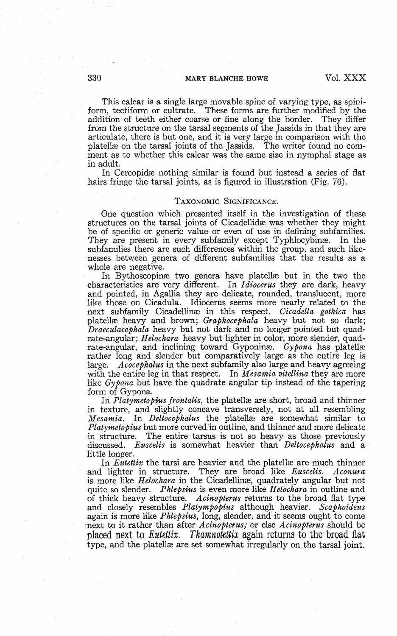# 330 MARY BLANCHE HOWE Vol. XXX

This calcar is a single large movable spine of varying type, as spiniform, tectiform or cultrate. These forms are further modified by the addition of teeth either coarse or fine along the border. They differ addition of teeth either coarse or fine along the border. from the structure on the tarsal segments of the Jassids in that they are articulate, there is but one, and it is very large in comparison with the platellse on the tarsal joints of the Jassids. The writer found no comment as to whether this calcar was the same size in nymphal stage as in adult.

In Cercopidae nothing similar is found but instead a series of flat hairs fringe the tarsal joints, as is figured in illustration (Fig. 76).

#### TAXONOMIC SIGNIFICANCE.

One question which presented itself in the investigation of these structures on the tarsal joints of Cicadellidae was whether they might be of specific or generic value or even of use in defining subfamilies. They are present in every subfamily except Typhlocybinæ. In the subfamilies there are such differences within the group, and such likenesses between genera of different subfamilies that the results as a whole are negative.

In Bythoscopinae two genera have platellae but in the two the characteristics are very different. In *Idiocerus* they are dark, heavy and pointed, in Agallia they are delicate, rounded, translucent, more like those on Cicadula. Idiocerus seems more nearly related to the next subfamily Cicadellinas in this respect. *Cicadella gothica* has platellae heavy and brown; *Graphocephala* heavy but not so dark; *Draeculacephala* heavy but not dark and no longer pointed but quadrate-angular; *Helochara* heavy but lighter in color, more slender, quadrate-angular, and inclining toward Gyponina. *Gypona* has platellage rather long and slender but comparatively large as the entire leg is large. *Acocephalus* in the next subfamily also large and heavy agreeing with the entire leg in that respect. In *Mesamia vitellina* they are more like *Gypona* but have the quadrate angular tip instead of the tapering form of Gypona.

In *Platymetopius frontalis*, the platellae are short, broad and thinner in texture, and slightly concave transversely, not at all resembling *Mesamia.* In *Deltocephalus* the platellae are somewhat similar to *Platymetopius* but more curved in outline, and thinner and more delicate in structure. The entire tarsus is not so heavy as those previously discussed. *Euscelis* is somewhat heavier than *Deltocephalus* and a little longer.

In *Eutettix* the tarsi are heavier and the platellae are much thinner and lighter in structure. They are broad like *Euscelis. Aconura* is more like *Helochara* in the Cicadellinae, quadrately angular but not quite so slender. *Phlepsius* is even more like *Helochara* in outline and of thick heavy structure. *Acinopterus* returns to the broad flat type and closely resembles *Platympopius* although heavier. *Scaphoideus* again is more like *Phlepsius,* long, slender, and it seems ought to come next to it rather than after *Acinopterus;* or else *Acinopterus* should be placed next to *Eutettix. Thamnokttix* again returns to the'broad flat type, and the platellae are set somewhat irregularly on the tarsal joint.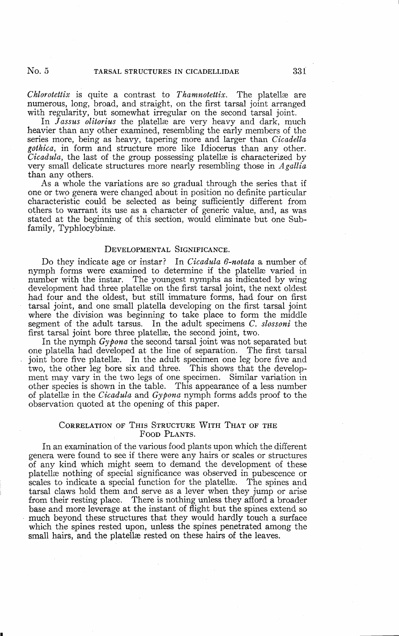*Chlorotettix* is quite a contrast to *Thamnotettix.* The platellae are numerous, long, broad, and straight, on the first tarsal joint arranged with regularity, but somewhat irregular on the second tarsal joint.

In *Jassus olitorius* the platellae are very heavy and dark, much heavier than any other examined, resembling the early members of the series more, being as heavy, tapering more and larger than *Cicadella gothica,* in form and structure more like Idiocerus than any other. *Cicadula*, the last of the group possessing platellæ is characterized by very small delicate structures more nearly resembling those in *Agallia* than any others.

As a whole the variations are so gradual through the series that if one or two genera were changed about in position no definite particular characteristic could be selected as being sufficiently different from others to warrant its use as a character of generic value, and, as was stated at the beginning of this section, would eliminate but one Subfamily, Typhlocybinas.

#### DEVELOPMENTAL SIGNIFICANCE.

Do they indicate age or instar? In *Cicadula 6-notata* a number of nymph forms were examined to determine if the platellae varied in number with the instar. The youngest nymphs as indicated by wing development had three platellae on the first tarsal joint, the next oldest had four and the oldest, but still immature forms, had four on first tarsal joint, and one small platella developing on the first tarsal joint where the division was beginning to take place to form the middle segment of the adult tarsus. In the adult specimens *C. slossoni* the first tarsal joint bore three platellae, the second joint, two.

In the nymph *Gypona* the second tarsal joint was not separated but one platella had developed at the line of separation. The first tarsal joint bore five platellæ. In the adult specimen one leg bore five and two, the other leg bore six and three. This shows that the development may vary in the two legs of one specimen. Similar variation in other species is shown in the table. This appearance of a less number of platellae in the *Cicadula* and *Gypona* nymph forms adds proof to the observation quoted at the opening of this paper.

### CORRELATION OF THIS STRUCTURE WITH THAT OF THE FOOD PLANTS.

In an examination of the various food plants upon which the different genera were found to see if there were any hairs or scales or structures of any kind which might seem to demand the development of these platellae nothing of special significance was observed in pubescence or scales to indicate a special function for the platellae. The spines and tarsal claws hold them and serve as a lever when they jump or arise from their resting place. There is nothing unless they afford a broader base and more leverage at the instant of flight but the spines extend so much beyond these structures that they would hardly touch a surface which the spines rested upon, unless the spines penetrated among the small hairs, and the platellae rested on these hairs of the leaves.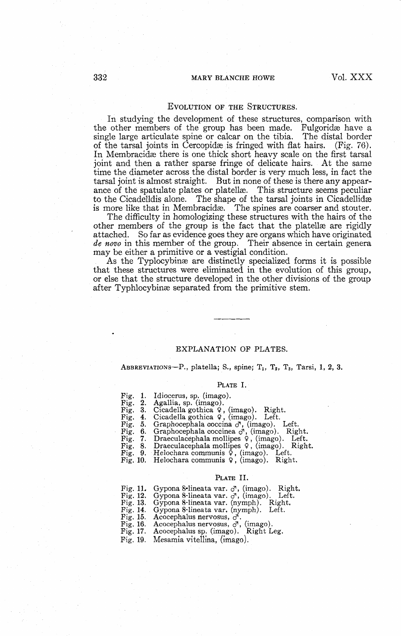#### EVOLUTION OF THE STRUCTURES.

In studying the development of these structures, comparison with the other members of the group has been made. Fulgoridae have a single large articulate spine or calcar on the tibia. The distal border of the tarsal joints in Cercopidae is fringed with flat hairs. (Fig. 76). In Membracidae there is one thick short heavy scale on the first tarsal joint and then a rather sparse fringe of delicate hairs. At the same time the diameter across the distal border is very much less, in fact the tarsal joint is almost straight. But in none of these is there any appearance of the spatulate plates or platellæ. This structure seems peculiar to the Cicadelldis alone. The shape of the tarsal joints in Cicadellidæ is more like that in Membracida. The spines are coarser and stouter.

The difficulty in homologizing these structures with the hairs of the other members of the group is the fact that the platellas are rigidly attached. So far as evidence goes they are organs which have originated *de novo* in this member of the group. Their absence in certain genera may be either a primitive or a vestigial condition.

As the Typlocybina are distinctly specialized forms it is possible that these structures were eliminated in the evolution of this group, or else that the structure developed in the other divisions of the group after Typhlocybinas separated from the primitive stem.

#### EXPLANATION OF PLATES.

ABBREVIATIONS—P., platella; S., spine;  $T_1$ ,  $T_2$ ,  $T_3$ , Tarsi, 1, 2, 3.

#### PLATE I.

|  | Fig. 1. Idiocerus, sp. (imago).                             |
|--|-------------------------------------------------------------|
|  |                                                             |
|  | Fig. 2. Agallia, sp. (imago).                               |
|  | Fig. 3. Cicadella gothica 9, (imago). Right.                |
|  | Fig. 4. Cicadella gothica 9, (imago). Left.                 |
|  | Fig. 5. Graphocephala coccina $\sigma$ , (imago). Left.     |
|  | Fig. 6. Graphocephala coccinea $\sigma$ , (imago). Right.   |
|  | Fig. 7. Draeculacephala mollipes $9$ , (imago). Left.       |
|  | Fig. 8. Draeculacephala mollipes 9, (imago). Right.         |
|  | Fig. 9. Helochara communis $\dot{\varphi}$ , (imago). Left. |
|  | ווירד וידל איר יודל הדיוויות ו                              |

Fig. 10. Helochara communis 9, (imago). Right.

#### PLATE II.

|          | Fig. 11. Gypona 8-lineata var. $\sigma$ , (imago). Right. |
|----------|-----------------------------------------------------------|
|          | Fig. 12. Gypona 8-lineata var. $\sigma$ , (imago). Left.  |
|          | Fig. 13. Gypona 8-lineata var. (nymph). Right.            |
| Fig. 14. | Gypona 8-lineata var. (nymph). Left.                      |
|          | Fig. 15. Acocephalus nervosus, $\sigma$ .                 |
| Fig. 16. | Acocephalus nervosus, $\sigma$ , (imago).                 |
| Fig. 17. | Acocephalus sp. (imago). Right Leg.                       |
| Fig. 19. | Mesamia vitellina, (imago).                               |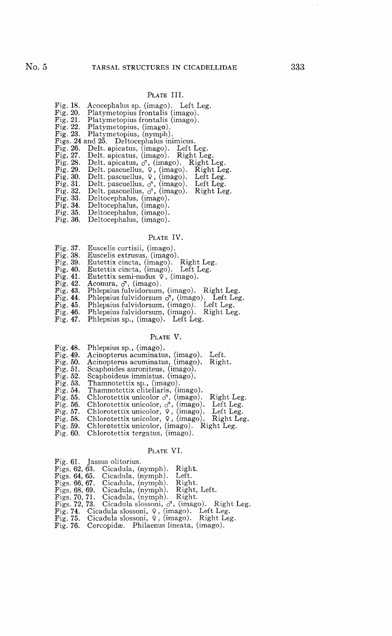## PLATE III.

| Fig. 18.    | Acocephalus sp. (imago). Left Leg.                  |
|-------------|-----------------------------------------------------|
| Fig. 20.    | Platymetopius frontalis (imago).                    |
| Fig. 21.    | Platymetopius frontalis (imago).                    |
| Fig. $22$ . | Platymetopius, (imago).                             |
| Fig. 23.    | Platymetopius, (nymph).                             |
|             | Figs. 24 and 25. Deltocephalus inimicus.            |
| Fig. 26.    | Delt. apicatus, (imago). Left Leg.                  |
| Fig. 27.    | Delt. apicatus, (imago). Right Leg.                 |
| Fig. 28.    | Delt. apicatus, $\sigma$ , (imago). Right Leg.      |
| Fig. $29.$  | Delt. pascuellus, $9$ , (imago). Right Leg.         |
| Fig. 30.    | Delt. pascuellus, $9$ , (imago). Left Leg.          |
| Fig. 31.    | Delt. pascuellus, $\sigma$ , (imago). Left Leg.     |
| Fig. 32.    | Delt. pascuellus, $\sigma$ , (imago).<br>Right Leg. |
| Fig. 33.    | Deltocephalus, (imago).                             |
| Fig. $34.$  | Deltocephalus, (imago).                             |
| Fig. 35.    | Deltocephalus, (imago).                             |
|             |                                                     |

Fig. 36. Deltocephalus, (imago).

### PLATE IV.

- Fig. 37. Euscelis curtisii, (imago).<br>Fig. 38. Euscelis extrusus, (imago).
- 
- Fig. 38. Euscelis extrusus, (imago). Fig. 39. Eutettix cincta, (imago). Right Leg. Fig. 40. Eutettix cincta, (imago). Left Leg.
- 
- Fig. 40. Eutettix cincta, (imago). Left I<br>Fig. 41. Eutettix semi-nudus 9, (imago).<br>Fig. 42. Aconura,  $\sigma$ , (imago).
- 
- 
- Fig. 42. Aconura,  $\sigma$ <sup>7</sup>, (imago).<br>Fig. 43. Phlepsius fulvidorsum, (imago). Right Leg.<br>Fig. 44. Phlepsius fulvidorsum  $\sigma$ <sup>7</sup>, (imago). Left Leg.<br>Fig. 45. Phlepsius fulvidorsum, (imago). Left Leg.
- 
- Fig. 46. Phlepsius fulvidorsum, (imago). Right Leg.
- Fig. 47. Phlepsius sp., (imago). Left Leg.

#### PLATE V.

| Fig. 48. | Phlepsius sp., (imago). |  |  |
|----------|-------------------------|--|--|
|----------|-------------------------|--|--|

- 
- 
- 
- 
- 
- 
- 
- 
- Fig. 49. Acinopterus acuminatus, (imago). Left.<br>Fig. 50. Acinopterus acuminatus, (imago). Right.<br>Fig. 51. Scaphoides auroniteus, (imago).<br>Fig. 52. Scaphoides immistus, (imago).<br>Fig. 53. Thamnotettix sp., (imago).<br>Fig. 53.
- Fig. 58. Chlorotettix unicolor, 9, (imago). Right Leg. Fig. 59. Chlorotettix unicolor, (imago). Right Leg.
- 
- Fig. 60. Chlorotettix tergatus, (imago).

#### PLATE VI.

| Fig. 61. Jassus olitorius.                                      |
|-----------------------------------------------------------------|
| Right.<br>Figs. $62, 63$ . Cicadula, (nymph).                   |
| Figs. 64, 65. Cicadula, (nymph). Left.                          |
| Figs. 66, 67. Cicadula, (nymph). Right.                         |
| Figs. 68, 69. Cicadula, (nymph). Right, Left.                   |
| Figs. 70, 71. Cicadula, (nymph). Right.                         |
| Figs. 72, 73. Cicadula slossoni, $\sigma$ , (imago). Right Leg. |
| Fig. 74. Cicadula slossoni, $9$ , (imago). Left Leg.            |
| Fig. 75. Cicadula slossoni, $9$ , (imago). Right Leg.           |
| Fig. 76. Cercopidæ. Philaenus lineata, (imago).                 |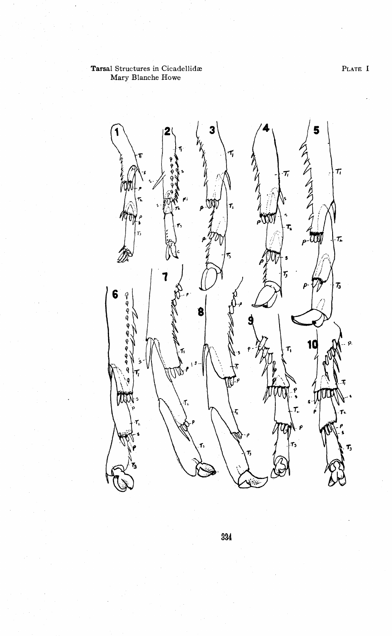PLATE I

# **Tarsal** Structures in Cicadellidae Mary Blanche Howe



334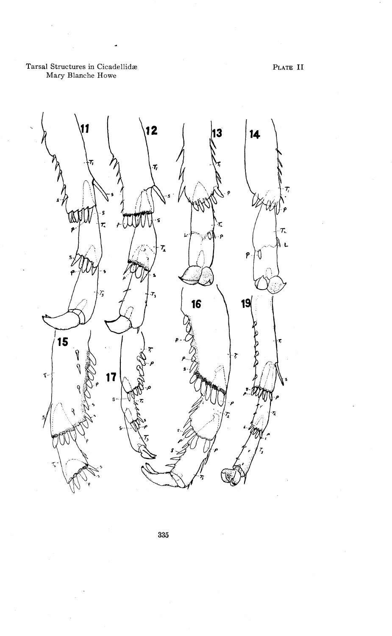

335

PLATE II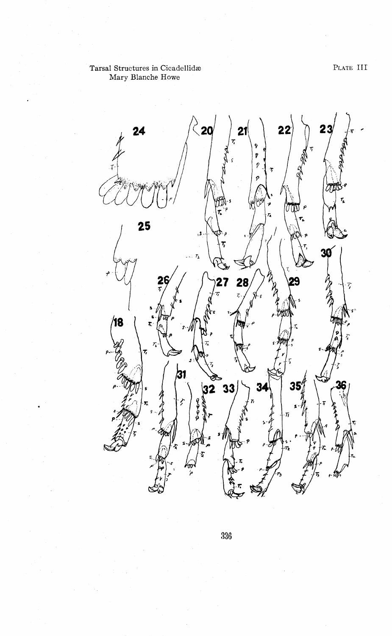

336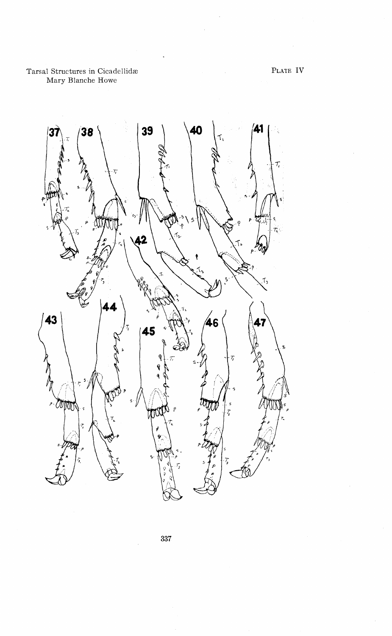> 39 40 41 38  $\overline{\mathbf{3}}$ 4 43 46 45  $\mathbf{s}$ *CONTON* þ. m  $\overline{7}$

> > 337

PLATE IV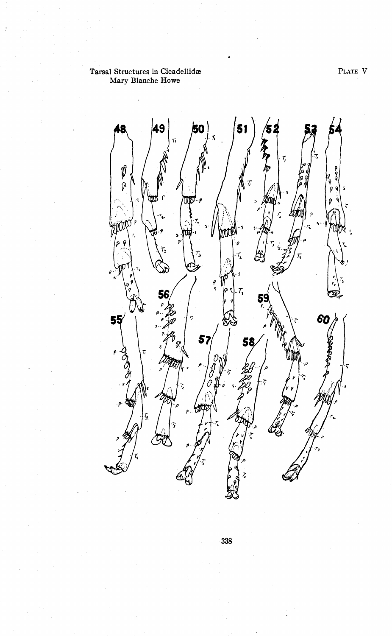PLATE V

# Tarsal Structures in Cicadellidae Mary Blanche Howe



338